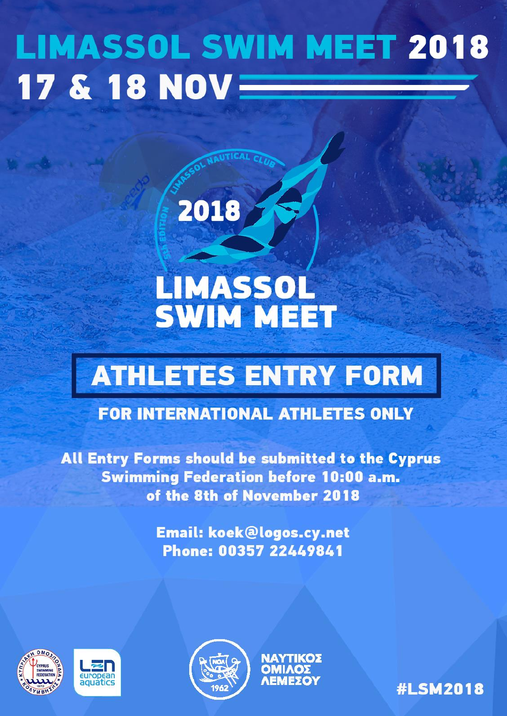# **LIMASSOL SWIM MEET 2018** 17 & 18 NOV $\equiv$

# LIMASSOL **SWIM MEET**

2018

# **ATHLETES ENTRY FORM**

# **FOR INTERNATIONAL ATHLETES ONLY**

All Entry Forms should be submitted to the Cyprus **Swimming Federation before 10:00 a.m.** of the 8th of November 2018

> **Email: koek@logos.cy.net** Phone: 00357 22449841







ΝΑΥΤΙΚΟΣ **OMIAOZ** 

**#LSM2018**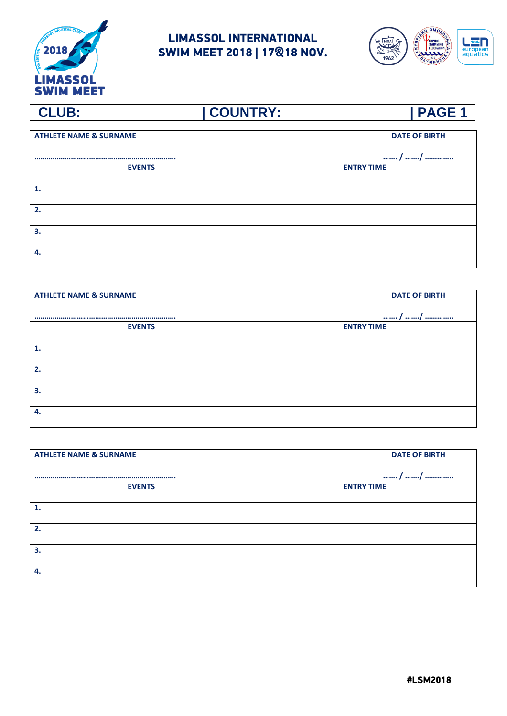



| <b>ATHLETE NAME &amp; SURNAME</b> |                   | <b>DATE OF BIRTH</b> |
|-----------------------------------|-------------------|----------------------|
|                                   |                   |                      |
|                                   |                   | / /                  |
| <b>EVENTS</b>                     | <b>ENTRY TIME</b> |                      |
|                                   |                   |                      |
| 1.                                |                   |                      |
|                                   |                   |                      |
| 2.                                |                   |                      |
|                                   |                   |                      |
| 3.                                |                   |                      |
|                                   |                   |                      |
| 4.                                |                   |                      |
|                                   |                   |                      |

| <b>ATHLETE NAME &amp; SURNAME</b> | <b>DATE OF BIRTH</b> |  |
|-----------------------------------|----------------------|--|
|                                   | / /                  |  |
| <b>EVENTS</b>                     | <b>ENTRY TIME</b>    |  |
|                                   |                      |  |
| 2.                                |                      |  |
|                                   |                      |  |
| 3.                                |                      |  |
| 4.                                |                      |  |
|                                   |                      |  |

| <b>ATHLETE NAME &amp; SURNAME</b> | <b>DATE OF BIRTH</b> |
|-----------------------------------|----------------------|
|                                   | / /                  |
| <b>EVENTS</b>                     | <b>ENTRY TIME</b>    |
|                                   |                      |
|                                   |                      |
| 2.                                |                      |
| 3.                                |                      |
|                                   |                      |
| 4.                                |                      |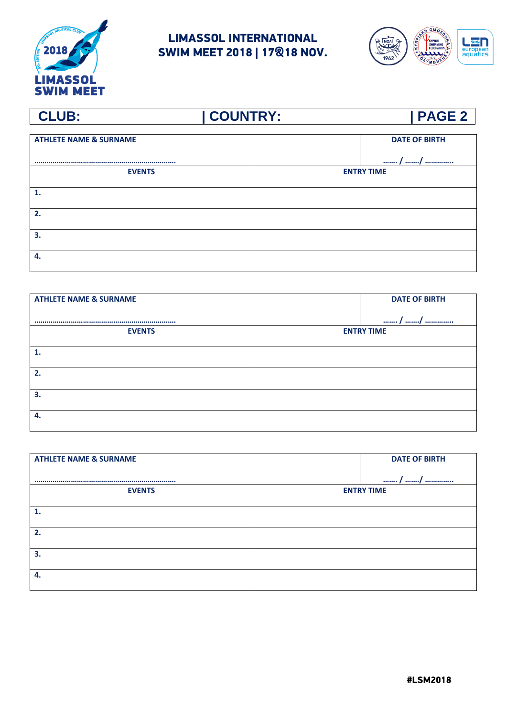



### **CLUB: | COUNTRY: | PAGE 2 ATHLETE NAME & SURNAME ……………………………………………………………. DATE OF BIRTH ……. / ……./ ………….. EVENTS ENTRY TIME 1. 2. 3. 4.**

| <b>ATHLETE NAME &amp; SURNAME</b> |                   | <b>DATE OF BIRTH</b> |
|-----------------------------------|-------------------|----------------------|
|                                   |                   | / /                  |
| <b>EVENTS</b>                     | <b>ENTRY TIME</b> |                      |
| 1.                                |                   |                      |
| 2.                                |                   |                      |
|                                   |                   |                      |
| 3.                                |                   |                      |
| 4.                                |                   |                      |
|                                   |                   |                      |

| <b>ATHLETE NAME &amp; SURNAME</b> | <b>DATE OF BIRTH</b> |
|-----------------------------------|----------------------|
|                                   |                      |
|                                   | / /                  |
| <b>EVENTS</b>                     | <b>ENTRY TIME</b>    |
| 1.                                |                      |
|                                   |                      |
| 2.                                |                      |
| 3.                                |                      |
| 4.                                |                      |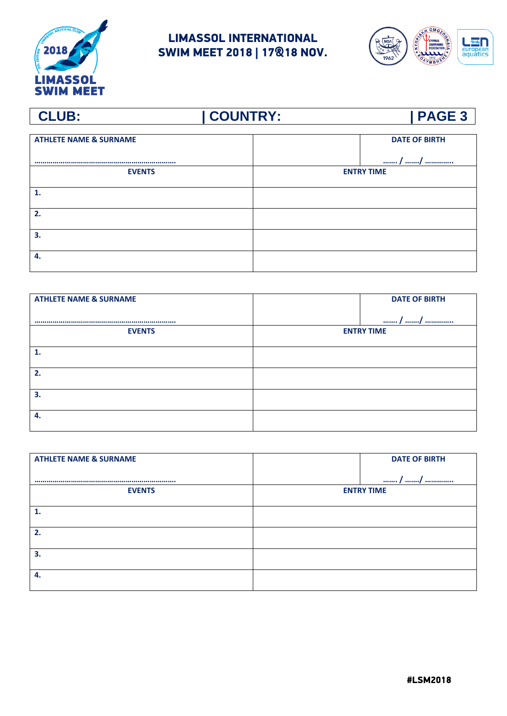



### **CLUB: | COUNTRY: | PAGE 3 ATHLETE NAME & SURNAME ……………………………………………………………. DATE OF BIRTH ……. / ……./ ………….. EVENTS ENTRY TIME 1. 2. 3. 4.**

| <b>ATHLETE NAME &amp; SURNAME</b> |                   | <b>DATE OF BIRTH</b> |
|-----------------------------------|-------------------|----------------------|
|                                   |                   | / /                  |
| <b>EVENTS</b>                     | <b>ENTRY TIME</b> |                      |
| 1.                                |                   |                      |
| 2.                                |                   |                      |
|                                   |                   |                      |
| 3.                                |                   |                      |
| 4.                                |                   |                      |
|                                   |                   |                      |

| <b>ATHLETE NAME &amp; SURNAME</b> | <b>DATE OF BIRTH</b> |
|-----------------------------------|----------------------|
|                                   | /<br>/               |
| <b>EVENTS</b>                     | <b>ENTRY TIME</b>    |
| 1.                                |                      |
|                                   |                      |
| 2.                                |                      |
| 3.                                |                      |
| 4.                                |                      |
|                                   |                      |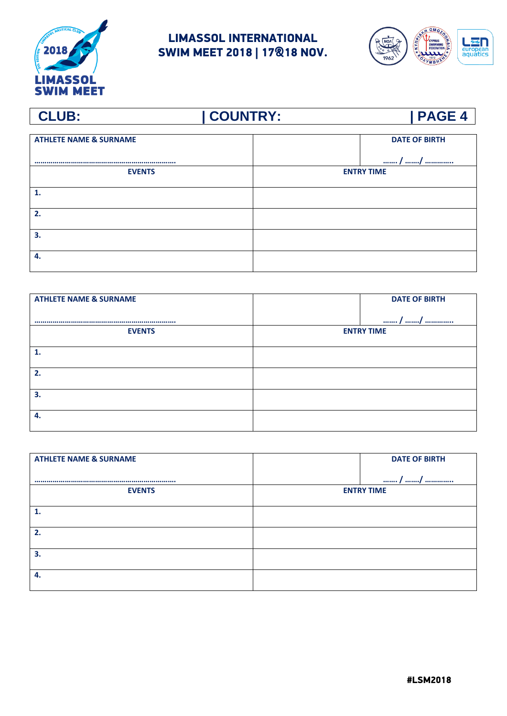



### **CLUB: | COUNTRY: | PAGE 4 ATHLETE NAME & SURNAME ……………………………………………………………. DATE OF BIRTH ……. / ……./ ………….. EVENTS ENTRY TIME 1. 2. 3. 4.**

| <b>ATHLETE NAME &amp; SURNAME</b> | <b>DATE OF BIRTH</b> |
|-----------------------------------|----------------------|
|                                   | / /                  |
| <b>EVENTS</b>                     | <b>ENTRY TIME</b>    |
| 1.                                |                      |
| 2.                                |                      |
| 3.                                |                      |
|                                   |                      |
| 4.                                |                      |

| <b>ATHLETE NAME &amp; SURNAME</b> | <b>DATE OF BIRTH</b> |
|-----------------------------------|----------------------|
|                                   |                      |
|                                   | / /                  |
| <b>EVENTS</b>                     | <b>ENTRY TIME</b>    |
| 1.                                |                      |
|                                   |                      |
| 2.                                |                      |
| 3.                                |                      |
| 4.                                |                      |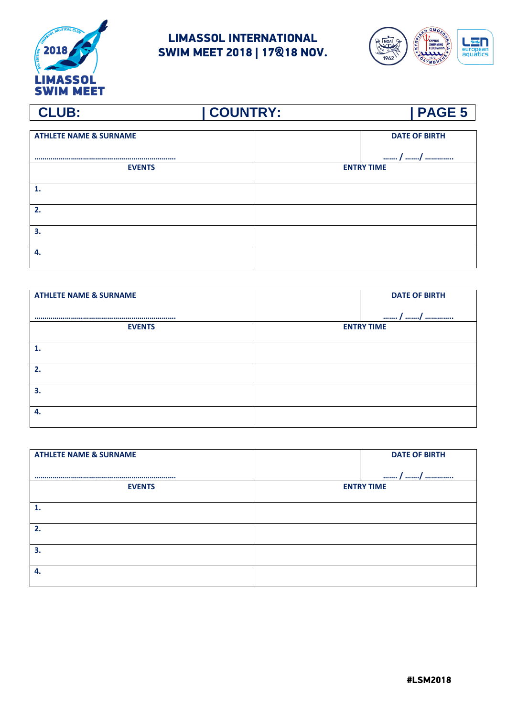



| <b>ATHLETE NAME &amp; SURNAME</b> | <b>DATE OF BIRTH</b> |
|-----------------------------------|----------------------|
|                                   | / /                  |
| <b>EVENTS</b>                     | <b>ENTRY TIME</b>    |
|                                   |                      |
| 1.                                |                      |
| 2.                                |                      |
| 3.                                |                      |
| 4.                                |                      |

| <b>ATHLETE NAME &amp; SURNAME</b> | <b>DATE OF BIRTH</b> |
|-----------------------------------|----------------------|
|                                   | / /                  |
| <b>EVENTS</b>                     | <b>ENTRY TIME</b>    |
| 1.                                |                      |
|                                   |                      |
| 2.                                |                      |
| 3.                                |                      |
| 4.                                |                      |
|                                   |                      |

| <b>ATHLETE NAME &amp; SURNAME</b> |                   | <b>DATE OF BIRTH</b> |
|-----------------------------------|-------------------|----------------------|
|                                   |                   | / /                  |
| <b>EVENTS</b>                     | <b>ENTRY TIME</b> |                      |
|                                   |                   |                      |
|                                   |                   |                      |
| 2.                                |                   |                      |
| 3.                                |                   |                      |
| 4.                                |                   |                      |
|                                   |                   |                      |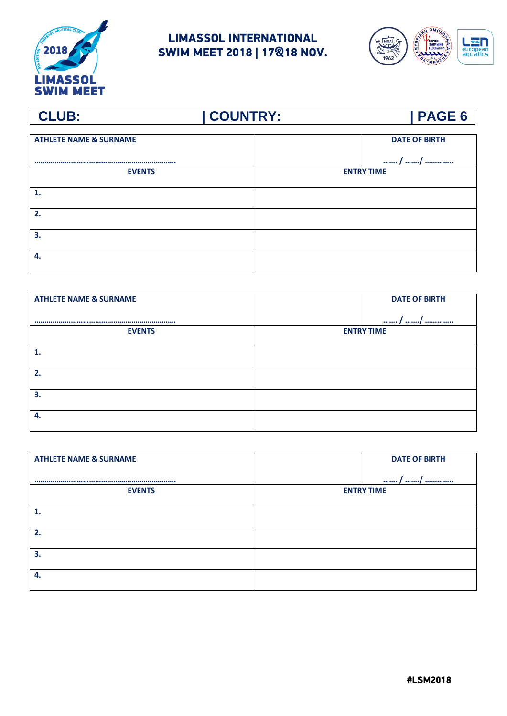



### **CLUB: | COUNTRY: | PAGE 6 ATHLETE NAME & SURNAME ……………………………………………………………. DATE OF BIRTH ……. / ……./ ………….. EVENTS ENTRY TIME 1. 2. 3. 4.**

| <b>ATHLETE NAME &amp; SURNAME</b> | <b>DATE OF BIRTH</b> |
|-----------------------------------|----------------------|
|                                   | / /                  |
| <b>EVENTS</b>                     | <b>ENTRY TIME</b>    |
| 1.                                |                      |
| 2.                                |                      |
| 3.                                |                      |
|                                   |                      |
| 4.                                |                      |

| <b>ATHLETE NAME &amp; SURNAME</b> | <b>DATE OF BIRTH</b> |
|-----------------------------------|----------------------|
|                                   |                      |
|                                   | / /                  |
| <b>EVENTS</b>                     | <b>ENTRY TIME</b>    |
|                                   |                      |
|                                   |                      |
| 2.                                |                      |
| 3.                                |                      |
| 4.                                |                      |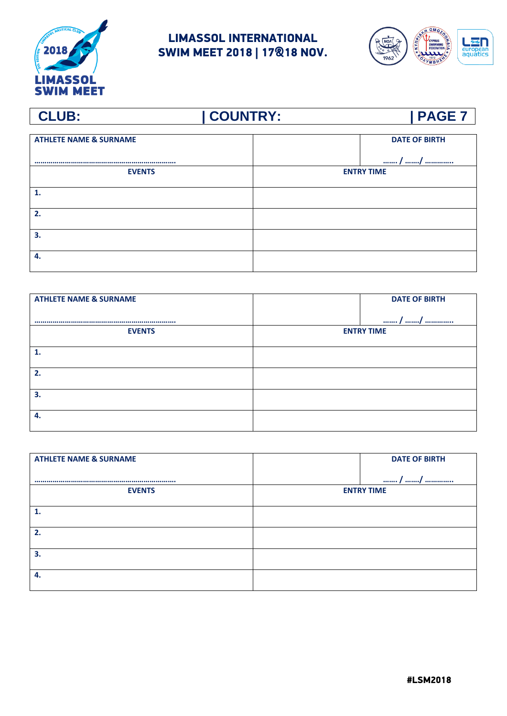



### **CLUB: | COUNTRY: | PAGE 7 ATHLETE NAME & SURNAME ……………………………………………………………. DATE OF BIRTH ……. / ……./ ………….. EVENTS ENTRY TIME 1. 2. 3. 4.**

| <b>ATHLETE NAME &amp; SURNAME</b> | <b>DATE OF BIRTH</b> |
|-----------------------------------|----------------------|
|                                   | / /                  |
| <b>EVENTS</b>                     | <b>ENTRY TIME</b>    |
| 1.                                |                      |
| 2.                                |                      |
| 3.                                |                      |
|                                   |                      |
| 4.                                |                      |

| <b>ATHLETE NAME &amp; SURNAME</b> | <b>DATE OF BIRTH</b> |  |
|-----------------------------------|----------------------|--|
|                                   |                      |  |
|                                   | / /                  |  |
| <b>EVENTS</b>                     | <b>ENTRY TIME</b>    |  |
| 1.                                |                      |  |
|                                   |                      |  |
| 2.                                |                      |  |
| 3.                                |                      |  |
| 4.                                |                      |  |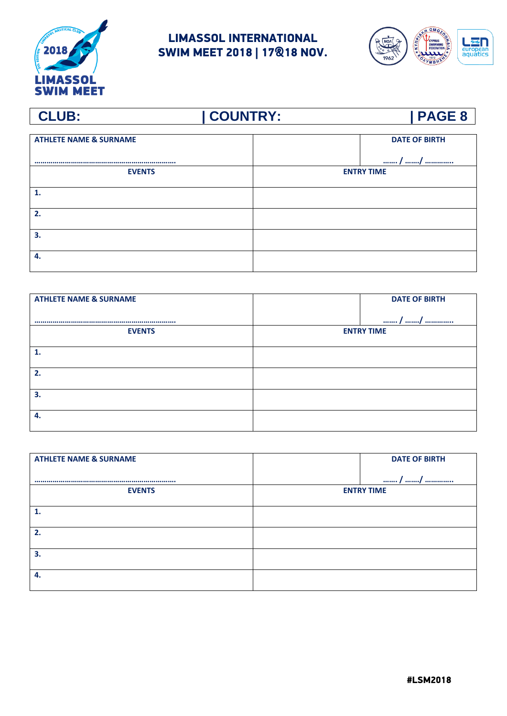



### **CLUB: | COUNTRY: | PAGE 8 ATHLETE NAME & SURNAME ……………………………………………………………. DATE OF BIRTH ……. / ……./ ………….. EVENTS ENTRY TIME 1. 2. 3. 4.**

| <b>ATHLETE NAME &amp; SURNAME</b> | <b>DATE OF BIRTH</b> |
|-----------------------------------|----------------------|
|                                   | / /                  |
| <b>EVENTS</b>                     | <b>ENTRY TIME</b>    |
| 1.                                |                      |
| 2.                                |                      |
| 3.                                |                      |
|                                   |                      |
| 4.                                |                      |

| <b>ATHLETE NAME &amp; SURNAME</b> | <b>DATE OF BIRTH</b> |  |
|-----------------------------------|----------------------|--|
|                                   |                      |  |
|                                   | / /                  |  |
| <b>EVENTS</b>                     | <b>ENTRY TIME</b>    |  |
| 1.                                |                      |  |
|                                   |                      |  |
| 2.                                |                      |  |
| 3.                                |                      |  |
| 4.                                |                      |  |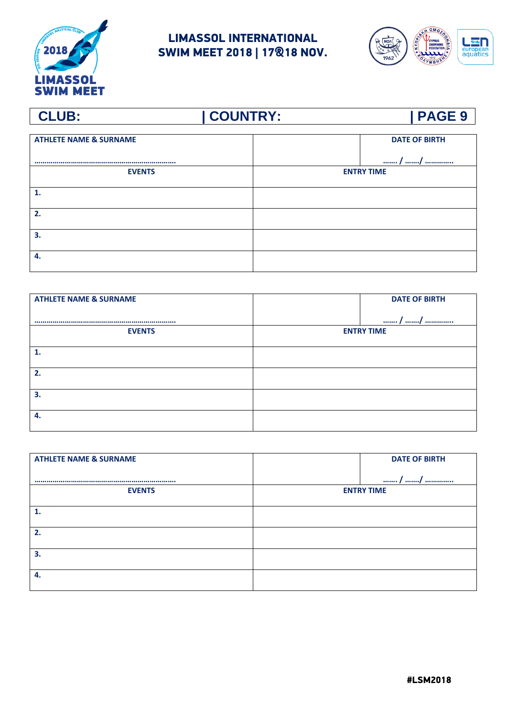



### **CLUB: | COUNTRY: | PAGE 9 ATHLETE NAME & SURNAME ……………………………………………………………. DATE OF BIRTH ……. / ……./ ………….. EVENTS ENTRY TIME 1. 2. 3. 4.**

| <b>ATHLETE NAME &amp; SURNAME</b> | <b>DATE OF BIRTH</b> |
|-----------------------------------|----------------------|
|                                   | / /                  |
| <b>EVENTS</b>                     | <b>ENTRY TIME</b>    |
| 1.                                |                      |
| 2.                                |                      |
| 3.                                |                      |
|                                   |                      |
| 4.                                |                      |

| <b>ATHLETE NAME &amp; SURNAME</b> | <b>DATE OF BIRTH</b> |  |
|-----------------------------------|----------------------|--|
|                                   |                      |  |
|                                   | / /                  |  |
| <b>EVENTS</b>                     | <b>ENTRY TIME</b>    |  |
| 1.                                |                      |  |
|                                   |                      |  |
| 2.                                |                      |  |
| 3.                                |                      |  |
| 4.                                |                      |  |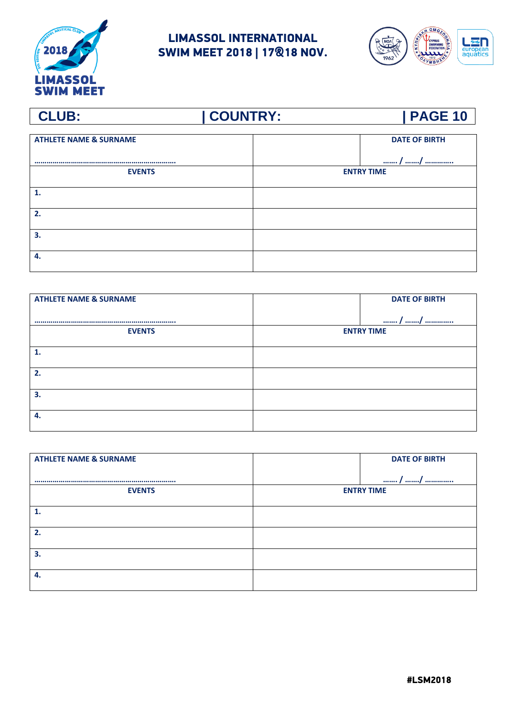



### **CLUB: | COUNTRY: | PAGE 10 ATHLETE NAME & SURNAME ……………………………………………………………. DATE OF BIRTH ……. / ……./ ………….. EVENTS ENTRY TIME 1. 2. 3. 4.**

| <b>ATHLETE NAME &amp; SURNAME</b> | <b>DATE OF BIRTH</b> |
|-----------------------------------|----------------------|
|                                   | / /                  |
| <b>EVENTS</b>                     | <b>ENTRY TIME</b>    |
| 1.                                |                      |
| 2.                                |                      |
| 3.                                |                      |
| 4.                                |                      |
|                                   |                      |

| <b>ATHLETE NAME &amp; SURNAME</b> | <b>DATE OF BIRTH</b> |
|-----------------------------------|----------------------|
|                                   | / /                  |
| <b>EVENTS</b>                     | <b>ENTRY TIME</b>    |
|                                   |                      |
| 2.                                |                      |
| 3.                                |                      |
| 4.                                |                      |

#LSM2018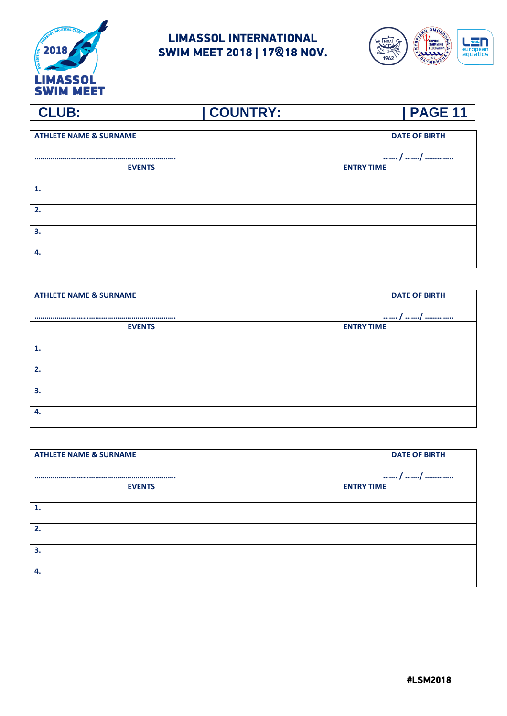



| <b>ATHLETE NAME &amp; SURNAME</b> | <b>DATE OF BIRTH</b> |
|-----------------------------------|----------------------|
|                                   | / /                  |
| <b>EVENTS</b>                     | <b>ENTRY TIME</b>    |
| 1.                                |                      |
| 2.                                |                      |
| 3.                                |                      |
| -4.                               |                      |

| <b>ATHLETE NAME &amp; SURNAME</b> | <b>DATE OF BIRTH</b> |
|-----------------------------------|----------------------|
|                                   | / /                  |
| <b>EVENTS</b>                     | <b>ENTRY TIME</b>    |
|                                   |                      |
| 2.                                |                      |
|                                   |                      |
| 3.                                |                      |
| 4.                                |                      |
|                                   |                      |

| <b>ATHLETE NAME &amp; SURNAME</b> |                   | <b>DATE OF BIRTH</b> |
|-----------------------------------|-------------------|----------------------|
|                                   |                   | / /                  |
| <b>EVENTS</b>                     | <b>ENTRY TIME</b> |                      |
|                                   |                   |                      |
|                                   |                   |                      |
| 2.                                |                   |                      |
| 3.                                |                   |                      |
| 4.                                |                   |                      |
|                                   |                   |                      |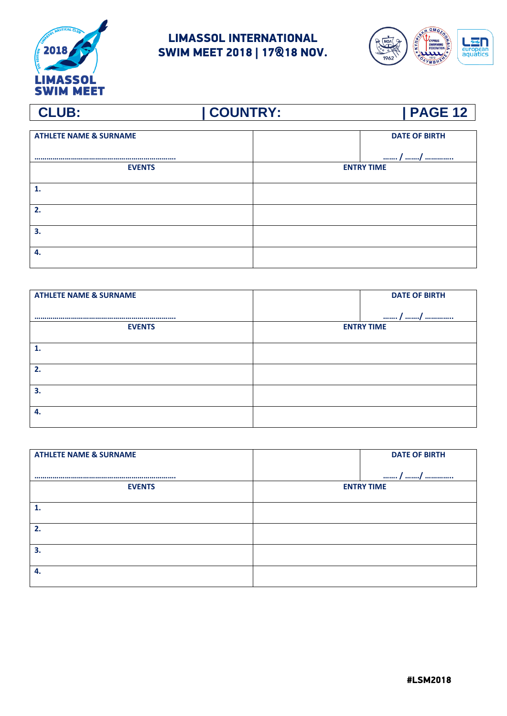



| <b>ATHLETE NAME &amp; SURNAME</b> | <b>DATE OF BIRTH</b> |  |
|-----------------------------------|----------------------|--|
|                                   | / /                  |  |
| <b>EVENTS</b>                     | <b>ENTRY TIME</b>    |  |
| 1.                                |                      |  |
| 2.                                |                      |  |
| 3.                                |                      |  |
| 4.                                |                      |  |

| <b>ATHLETE NAME &amp; SURNAME</b> |                   | <b>DATE OF BIRTH</b> |
|-----------------------------------|-------------------|----------------------|
|                                   |                   | / /                  |
| <b>EVENTS</b>                     | <b>ENTRY TIME</b> |                      |
|                                   |                   |                      |
|                                   |                   |                      |
| 2.                                |                   |                      |
| 3.                                |                   |                      |
| 4.                                |                   |                      |
|                                   |                   |                      |

| <b>ATHLETE NAME &amp; SURNAME</b> | <b>DATE OF BIRTH</b> |
|-----------------------------------|----------------------|
|                                   | / /                  |
| <b>EVENTS</b>                     | <b>ENTRY TIME</b>    |
|                                   |                      |
|                                   |                      |
| 2.                                |                      |
| 3.                                |                      |
|                                   |                      |
| 4.                                |                      |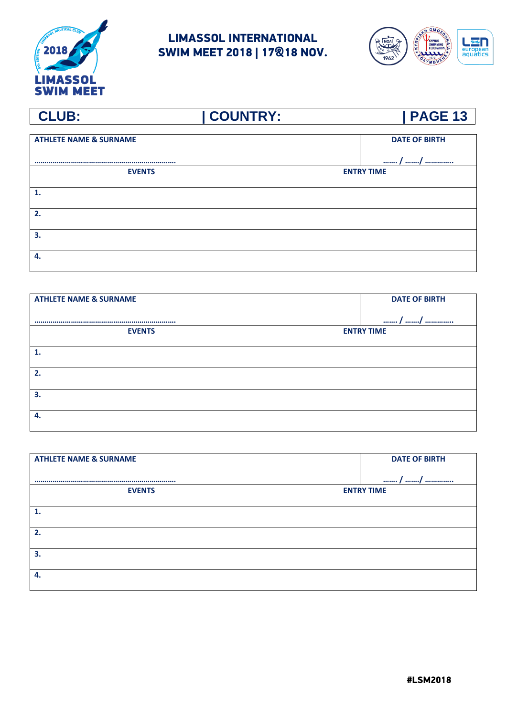



### **CLUB: | COUNTRY: | PAGE 13 ATHLETE NAME & SURNAME ……………………………………………………………. DATE OF BIRTH ……. / ……./ ………….. EVENTS ENTRY TIME 1. 2. 3. 4.**

| <b>ATHLETE NAME &amp; SURNAME</b> | <b>DATE OF BIRTH</b> |
|-----------------------------------|----------------------|
|                                   | / /                  |
| <b>EVENTS</b>                     | <b>ENTRY TIME</b>    |
| 1.                                |                      |
| 2.                                |                      |
| 3.                                |                      |
| 4.                                |                      |

| <b>ATHLETE NAME &amp; SURNAME</b> | <b>DATE OF BIRTH</b> |
|-----------------------------------|----------------------|
|                                   | / /                  |
| <b>EVENTS</b>                     | <b>ENTRY TIME</b>    |
|                                   |                      |
| 2.                                |                      |
| 3.                                |                      |
| 4.                                |                      |

#LSM2018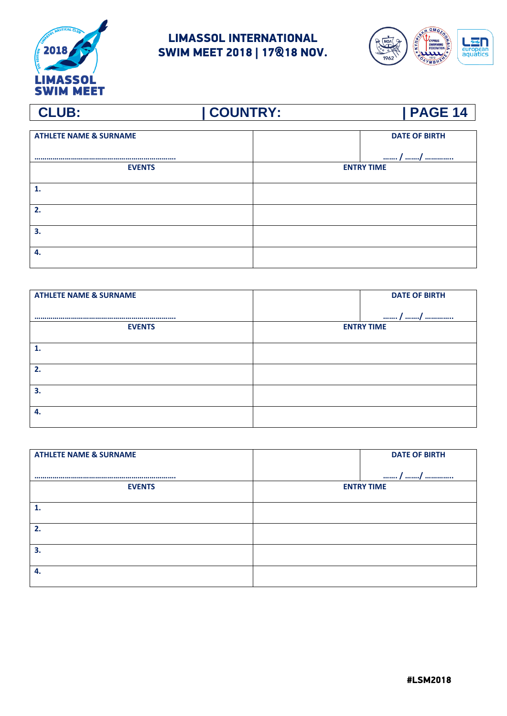



| <b>ATHLETE NAME &amp; SURNAME</b> | <b>DATE OF BIRTH</b> |
|-----------------------------------|----------------------|
|                                   | / /                  |
| <b>EVENTS</b>                     | <b>ENTRY TIME</b>    |
| 1.                                |                      |
| 2.                                |                      |
| 3.                                |                      |
| 4.                                |                      |

| <b>ATHLETE NAME &amp; SURNAME</b> | <b>DATE OF BIRTH</b> |
|-----------------------------------|----------------------|
|                                   | / /                  |
| <b>EVENTS</b>                     | <b>ENTRY TIME</b>    |
|                                   |                      |
|                                   |                      |
| 2.                                |                      |
| 3.                                |                      |
| 4.                                |                      |
|                                   |                      |

|                   | <b>DATE OF BIRTH</b> |
|-------------------|----------------------|
|                   | / /                  |
| <b>ENTRY TIME</b> |                      |
|                   |                      |
|                   |                      |
|                   |                      |
|                   |                      |
|                   |                      |
|                   |                      |
|                   |                      |